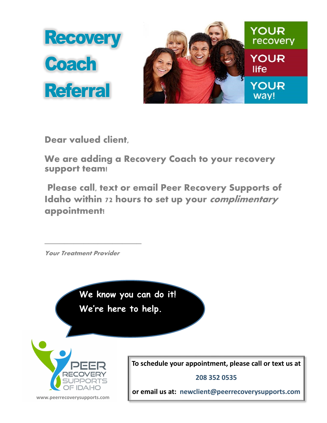

**Dear valued client,**

**We are adding a Recovery Coach to your recovery support team!** 

**Please call, text or email Peer Recovery Supports of Idaho within 72 hours to set up your complimentary appointment!**